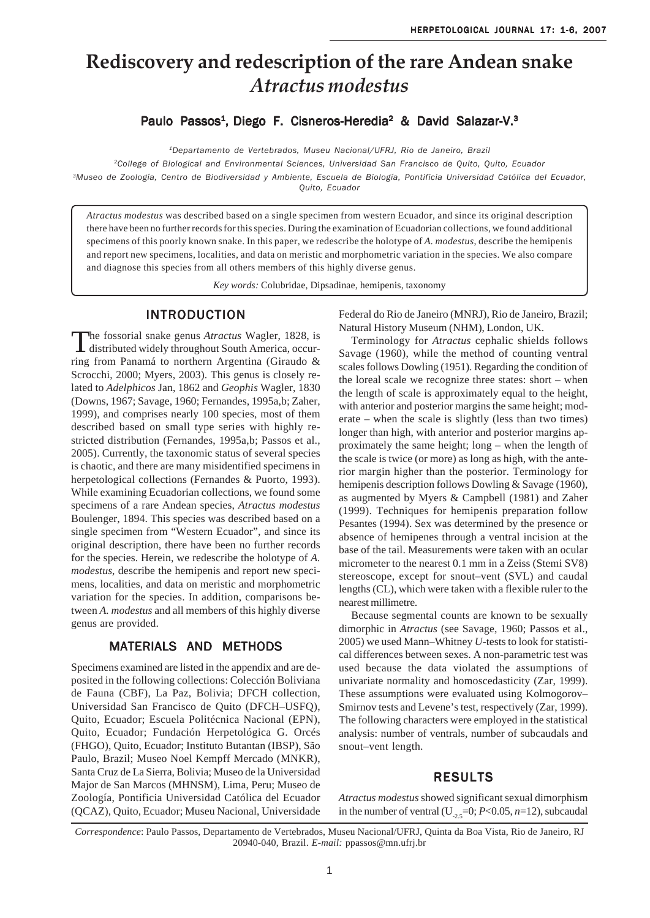# Rediscovery and redescription of the rare Andean snake Atractus modestus

Paulo Passos<sup>1</sup>, Diego F. Cisneros-Heredia<sup>2</sup> & David Salazar-V.<sup>3</sup>

<sup>1</sup>Departamento de Vertebrados, Museu Nacional/UFRJ, Rio de Janeiro, Brazil

<sup>2</sup>College of Biological and Environmental Sciences, Universidad San Francisco de Quito, Quito, Ecuador <sup>3</sup>Museo de Zoología, Centro de Biodiversidad y Ambiente, Escuela de Biología, Pontificia Universidad Católica del Ecuador, Quito, Ecuador

Atractus modestus was described based on a single specimen from western Ecuador, and since its original description there have been no further records for this species. During the examination of Ecuadorian collections, we found additional specimens of this poorly known snake. In this paper, we redescribe the holotype of A. modestus, describe the hemipenis and report new specimens, localities, and data on meristic and morphometric variation in the species. We also compare and diagnose this species from all others members of this highly diverse genus.

Key words: Colubridae, Dipsadinae, hemipenis, taxonomy

# **INTRODUCTION**

The fossorial snake genus Atractus Wagler, 1828, is distributed widely throughout South America, occurring from Panamá to northern Argentina (Giraudo & Scrocchi, 2000; Myers, 2003). This genus is closely related to Adelphicos Jan, 1862 and Geophis Wagler, 1830 (Downs, 1967; Savage, 1960; Fernandes, 1995a,b; Zaher, 1999), and comprises nearly 100 species, most of them described based on small type series with highly restricted distribution (Fernandes, 1995a,b; Passos et al., 2005). Currently, the taxonomic status of several species is chaotic, and there are many misidentified specimens in herpetological collections (Fernandes & Puorto, 1993). While examining Ecuadorian collections, we found some specimens of a rare Andean species, Atractus modestus Boulenger, 1894. This species was described based on a single specimen from "Western Ecuador", and since its original description, there have been no further records for the species. Herein, we redescribe the holotype of A. *modestus*, describe the hemipenis and report new specimens, localities, and data on meristic and morphometric variation for the species. In addition, comparisons between A. modestus and all members of this highly diverse genus are provided.

# **MATERIALS AND METHODS**

Specimens examined are listed in the appendix and are deposited in the following collections: Colección Boliviana de Fauna (CBF), La Paz, Bolivia; DFCH collection, Universidad San Francisco de Quito (DFCH-USFQ), Quito, Ecuador; Escuela Politécnica Nacional (EPN), Quito, Ecuador; Fundación Herpetológica G. Orcés (FHGO), Quito, Ecuador; Instituto Butantan (IBSP), São Paulo, Brazil; Museo Noel Kempff Mercado (MNKR), Santa Cruz de La Sierra, Bolivia; Museo de la Universidad Major de San Marcos (MHNSM), Lima, Peru; Museo de Zoología, Pontificia Universidad Católica del Ecuador (QCAZ), Quito, Ecuador; Museu Nacional, Universidade Federal do Rio de Janeiro (MNRJ), Rio de Janeiro, Brazil; Natural History Museum (NHM), London, UK.

Terminology for Atractus cephalic shields follows Savage (1960), while the method of counting ventral scales follows Dowling (1951). Regarding the condition of the loreal scale we recognize three states: short – when the length of scale is approximately equal to the height, with anterior and posterior margins the same height; moderate – when the scale is slightly (less than two times) longer than high, with anterior and posterior margins approximately the same height; long – when the length of the scale is twice (or more) as long as high, with the anterior margin higher than the posterior. Terminology for hemipenis description follows Dowling & Savage  $(1960)$ , as augmented by Myers & Campbell (1981) and Zaher (1999). Techniques for hemipenis preparation follow Pesantes (1994). Sex was determined by the presence or absence of hemipenes through a ventral incision at the base of the tail. Measurements were taken with an ocular micrometer to the nearest 0.1 mm in a Zeiss (Stemi SV8) stereoscope, except for snout-vent (SVL) and caudal lengths (CL), which were taken with a flexible ruler to the nearest millimetre.

Because segmental counts are known to be sexually dimorphic in Atractus (see Savage, 1960; Passos et al., 2005) we used Mann-Whitney U-tests to look for statistical differences between sexes. A non-parametric test was used because the data violated the assumptions of univariate normality and homoscedasticity (Zar, 1999). These assumptions were evaluated using Kolmogorov-Smirnov tests and Levene's test, respectively (Zar, 1999). The following characters were employed in the statistical analysis: number of ventrals, number of subcaudals and snout-vent length.

# **RESULTS**

Atractus modestus showed significant sexual dimorphism in the number of ventral (U<sub>25</sub>=0; P<0.05, n=12), subcaudal

Correspondence: Paulo Passos, Departamento de Vertebrados, Museu Nacional/UFRJ, Quinta da Boa Vista, Rio de Janeiro, RJ 20940-040, Brazil. E-mail: ppassos@mn.ufrj.br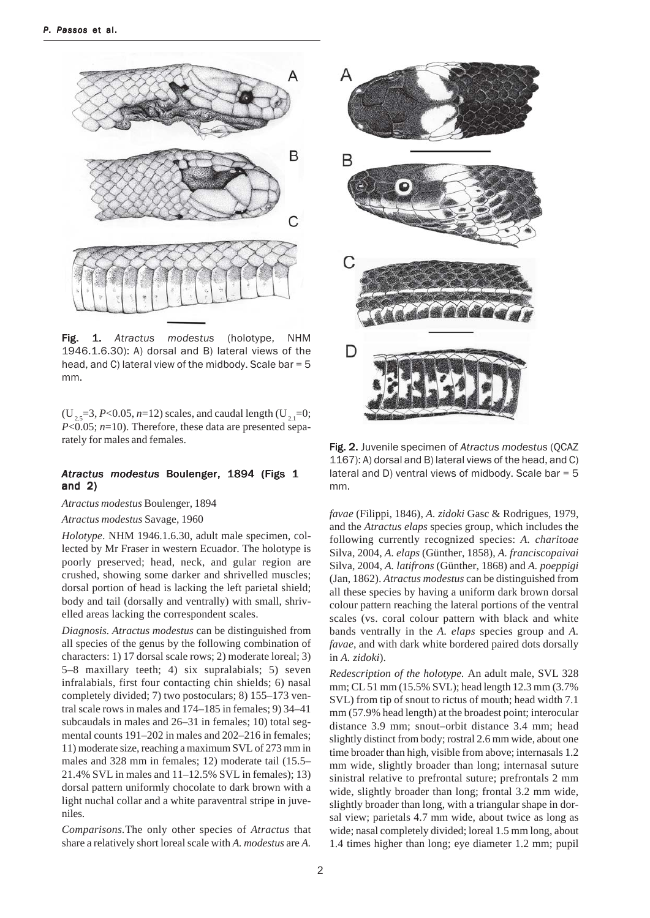

Fig. 1. Atractus modestus (holotype, **NHM** 1946.1.6.30): A) dorsal and B) lateral views of the head, and C) lateral view of the midbody. Scale bar = 5 mm.

 $(U_{2,5}=3, P<0.05, n=12)$  scales, and caudal length  $(U_{2,5}=0;$  $P<0.05$ ; n=10). Therefore, these data are presented separately for males and females.

#### Atractus modestus Boulenger, 1894 (Figs 1 and  $2)$

Atractus modestus Boulenger, 1894

#### Atractus modestus Savage, 1960

Holotype. NHM 1946.1.6.30, adult male specimen, collected by Mr Fraser in western Ecuador. The holotype is poorly preserved; head, neck, and gular region are crushed, showing some darker and shrivelled muscles; dorsal portion of head is lacking the left parietal shield; body and tail (dorsally and ventrally) with small, shrivelled areas lacking the correspondent scales.

Diagnosis. Atractus modestus can be distinguished from all species of the genus by the following combination of characters: 1) 17 dorsal scale rows; 2) moderate loreal; 3) 5–8 maxillary teeth; 4) six supralabials; 5) seven infralabials, first four contacting chin shields; 6) nasal completely divided; 7) two postoculars; 8) 155-173 ventral scale rows in males and 174–185 in females; 9) 34–41 subcaudals in males and 26–31 in females; 10) total segmental counts 191-202 in males and 202-216 in females; 11) moderate size, reaching a maximum SVL of 273 mm in males and 328 mm in females: 12) moderate tail (15.5–  $21.4\%$  SVL in males and  $11-12.5\%$  SVL in females); 13) dorsal pattern uniformly chocolate to dark brown with a light nuchal collar and a white paraventral stripe in juveniles.

Comparisons. The only other species of Atractus that share a relatively short loreal scale with A. modestus are A.



Fig. 2. Juvenile specimen of Atractus modestus (QCAZ 1167): A) dorsal and B) lateral views of the head, and C) lateral and D) ventral views of midbody. Scale bar  $=$  5 mm.

favae (Filippi, 1846), A. zidoki Gasc & Rodrigues, 1979, and the Atractus elaps species group, which includes the following currently recognized species: A. charitoae Silva, 2004, A. elaps (Günther, 1858), A. franciscopaivai Silva, 2004, A. latifrons (Günther, 1868) and A. poeppigi (Jan, 1862). Atractus modestus can be distinguished from all these species by having a uniform dark brown dorsal colour pattern reaching the lateral portions of the ventral scales (vs. coral colour pattern with black and white bands ventrally in the A. elaps species group and A. favae, and with dark white bordered paired dots dorsally in  $A$ . *zidoki*).

Redescription of the holotype. An adult male, SVL 328 mm; CL 51 mm (15.5% SVL); head length 12.3 mm (3.7% SVL) from tip of snout to rictus of mouth; head width 7.1 mm (57.9% head length) at the broadest point; interocular distance 3.9 mm; snout-orbit distance 3.4 mm; head slightly distinct from body; rostral 2.6 mm wide, about one time broader than high, visible from above; internasals 1.2 mm wide, slightly broader than long; internasal suture sinistral relative to prefrontal suture; prefrontals 2 mm wide, slightly broader than long; frontal 3.2 mm wide, slightly broader than long, with a triangular shape in dorsal view; parietals 4.7 mm wide, about twice as long as wide; nasal completely divided; loreal 1.5 mm long, about 1.4 times higher than long; eye diameter 1.2 mm; pupil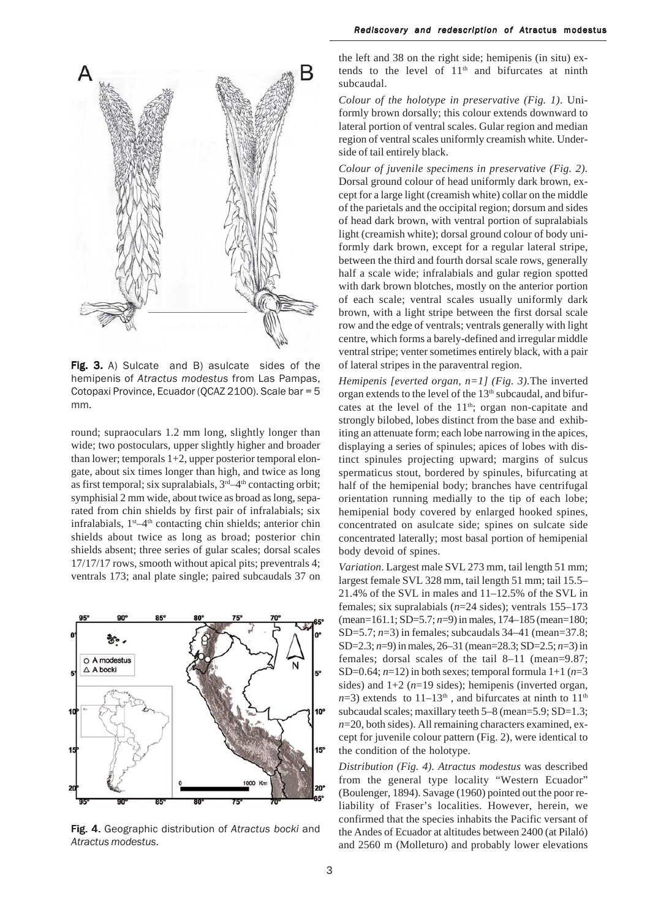

Fig. 3. A) Sulcate and B) asulcate sides of the hemipenis of Atractus modestus from Las Pampas, Cotopaxi Province, Ecuador (QCAZ 2100). Scale bar = 5 mm.

round; supraoculars 1.2 mm long, slightly longer than wide; two postoculars, upper slightly higher and broader than lower; temporals  $1+2$ , upper posterior temporal elongate, about six times longer than high, and twice as long as first temporal; six supralabials, 3<sup>rd</sup>-4<sup>th</sup> contacting orbit; symphisial 2 mm wide, about twice as broad as long, separated from chin shields by first pair of infralabials; six infralabials,  $1<sup>st</sup>-4<sup>th</sup>$  contacting chin shields; anterior chin shields about twice as long as broad; posterior chin shields absent; three series of gular scales; dorsal scales 17/17/17 rows, smooth without apical pits; preventrals 4; ventrals 173; anal plate single; paired subcaudals 37 on



Fig. 4. Geographic distribution of Atractus bocki and Atractus modestus.

the left and 38 on the right side; hemipenis (in situ) extends to the level of 11<sup>th</sup> and bifurcates at ninth subcaudal.

Colour of the holotype in preservative (Fig. 1). Uniformly brown dorsally; this colour extends downward to lateral portion of ventral scales. Gular region and median region of ventral scales uniformly creamish white. Underside of tail entirely black.

Colour of juvenile specimens in preservative (Fig. 2). Dorsal ground colour of head uniformly dark brown, except for a large light (creamish white) collar on the middle of the parietals and the occipital region; dorsum and sides of head dark brown, with ventral portion of supralabials light (creamish white); dorsal ground colour of body uniformly dark brown, except for a regular lateral stripe, between the third and fourth dorsal scale rows, generally half a scale wide; infralabials and gular region spotted with dark brown blotches, mostly on the anterior portion of each scale; ventral scales usually uniformly dark brown, with a light stripe between the first dorsal scale row and the edge of ventrals; ventrals generally with light centre, which forms a barely-defined and irregular middle ventral stripe; venter sometimes entirely black, with a pair of lateral stripes in the paraventral region.

Hemipenis [everted organ,  $n=1$ ] (Fig. 3). The inverted organ extends to the level of the 13th subcaudal, and bifurcates at the level of the 11<sup>th</sup>; organ non-capitate and strongly bilobed, lobes distinct from the base and exhibiting an attenuate form; each lobe narrowing in the apices, displaying a series of spinules; apices of lobes with distinct spinules projecting upward; margins of sulcus spermaticus stout, bordered by spinules, bifurcating at half of the hemipenial body; branches have centrifugal orientation running medially to the tip of each lobe; hemipenial body covered by enlarged hooked spines, concentrated on asulcate side; spines on sulcate side concentrated laterally; most basal portion of hemipenial body devoid of spines.

Variation. Largest male SVL 273 mm, tail length 51 mm; largest female SVL 328 mm, tail length 51 mm; tail 15.5– 21.4% of the SVL in males and 11-12.5% of the SVL in females; six supralabials  $(n=24 \text{ sides})$ ; ventrals 155-173 (mean=161.1; SD=5.7;  $n=9$ ) in males, 174-185 (mean=180; SD=5.7;  $n=3$ ) in females; subcaudals 34–41 (mean=37.8; SD=2.3;  $n=9$ ) in males, 26–31 (mean=28.3; SD=2.5;  $n=3$ ) in females; dorsal scales of the tail 8-11 (mean=9.87; SD=0.64;  $n=12$ ) in both sexes; temporal formula 1+1 ( $n=3$ ) sides) and  $1+2$  ( $n=19$  sides); hemipenis (inverted organ,  $n=3$ ) extends to 11–13<sup>th</sup>, and bifurcates at ninth to 11<sup>th</sup> subcaudal scales; maxillary teeth  $5-8$  (mean= $5.9$ ; SD= $1.3$ ;  $n=20$ , both sides). All remaining characters examined, except for juvenile colour pattern (Fig. 2), were identical to the condition of the holotype.

Distribution (Fig. 4). Atractus modestus was described from the general type locality "Western Ecuador" (Boulenger, 1894). Savage (1960) pointed out the poor reliability of Fraser's localities. However, herein, we confirmed that the species inhabits the Pacific versant of the Andes of Ecuador at altitudes between 2400 (at Pilaló) and 2560 m (Molleturo) and probably lower elevations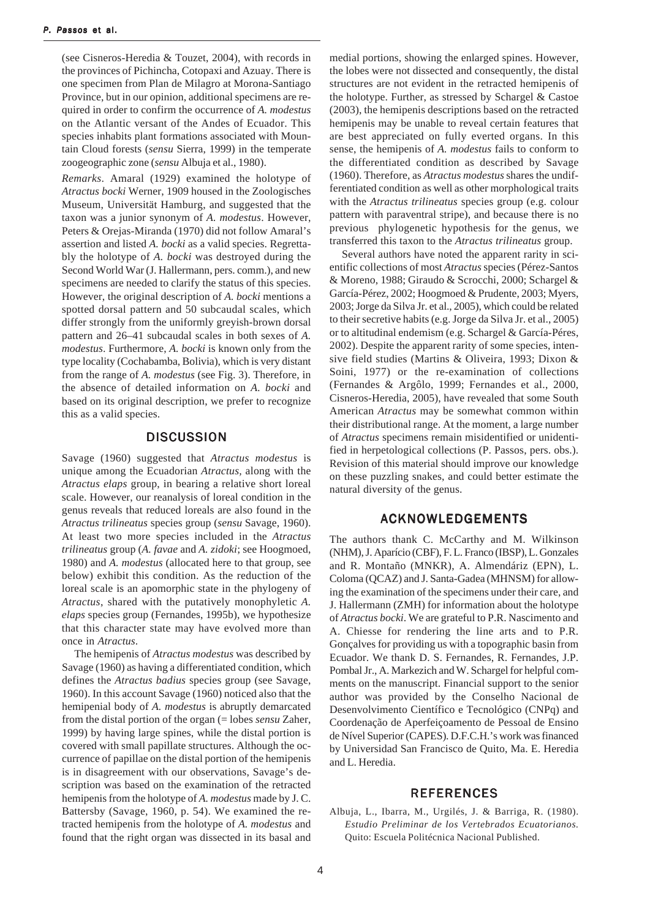(see Cisneros-Heredia & Touzet, 2004), with records in the provinces of Pichincha, Cotopaxi and Azuay. There is one specimen from Plan de Milagro at Morona-Santiago Province, but in our opinion, additional specimens are required in order to confirm the occurrence of A. *modestus* on the Atlantic versant of the Andes of Ecuador. This species inhabits plant formations associated with Mountain Cloud forests (sensu Sierra, 1999) in the temperate zoogeographic zone (sensu Albuja et al., 1980).

Remarks. Amaral (1929) examined the holotype of Atractus bocki Werner, 1909 housed in the Zoologisches Museum, Universität Hamburg, and suggested that the taxon was a junior synonym of A. modestus. However, Peters & Orejas-Miranda (1970) did not follow Amaral's assertion and listed A. bocki as a valid species. Regrettably the holotype of A. bocki was destroyed during the Second World War (J. Hallermann, pers. comm.), and new specimens are needed to clarify the status of this species. However, the original description of A. bocki mentions a spotted dorsal pattern and 50 subcaudal scales, which differ strongly from the uniformly greyish-brown dorsal pattern and 26–41 subcaudal scales in both sexes of A. modestus. Furthermore, A. bocki is known only from the type locality (Cochabamba, Bolivia), which is very distant from the range of A. *modestus* (see Fig. 3). Therefore, in the absence of detailed information on A. bocki and based on its original description, we prefer to recognize this as a valid species.

#### **DISCUSSION**

Savage (1960) suggested that Atractus modestus is unique among the Ecuadorian Atractus, along with the Atractus elaps group, in bearing a relative short loreal scale. However, our reanalysis of loreal condition in the genus reveals that reduced loreals are also found in the Atractus trilineatus species group (sensu Savage, 1960). At least two more species included in the Atractus trilineatus group (A. favae and A. zidoki; see Hoogmoed, 1980) and A. *modestus* (allocated here to that group, see below) exhibit this condition. As the reduction of the loreal scale is an apomorphic state in the phylogeny of Atractus, shared with the putatively monophyletic A. elaps species group (Fernandes, 1995b), we hypothesize that this character state may have evolved more than once in Atractus.

The hemipenis of *Atractus modestus* was described by Savage (1960) as having a differentiated condition, which defines the Atractus badius species group (see Savage, 1960). In this account Savage (1960) noticed also that the hemipenial body of A. modestus is abruptly demarcated from the distal portion of the organ  $(=$  lobes *sensu* Zaher, 1999) by having large spines, while the distal portion is covered with small papillate structures. Although the occurrence of papillae on the distal portion of the hemipenis is in disagreement with our observations, Savage's description was based on the examination of the retracted hemipenis from the holotype of A. modestus made by J.C. Battersby (Savage, 1960, p. 54). We examined the retracted hemipenis from the holotype of A. modestus and found that the right organ was dissected in its basal and medial portions, showing the enlarged spines. However, the lobes were not dissected and consequently, the distal structures are not evident in the retracted hemipenis of the holotype. Further, as stressed by Schargel & Castoe (2003), the hemipenis descriptions based on the retracted hemipenis may be unable to reveal certain features that are best appreciated on fully everted organs. In this sense, the hemipenis of A. modestus fails to conform to the differentiated condition as described by Savage (1960). Therefore, as Atractus modestus shares the undifferentiated condition as well as other morphological traits with the Atractus trilineatus species group (e.g. colour pattern with paraventral stripe), and because there is no previous phylogenetic hypothesis for the genus, we transferred this taxon to the Atractus trilineatus group.

Several authors have noted the apparent rarity in scientific collections of most Atractus species (Pérez-Santos & Moreno, 1988; Giraudo & Scrocchi, 2000; Schargel & García-Pérez, 2002; Hoogmoed & Prudente, 2003; Myers, 2003; Jorge da Silva Jr. et al., 2005), which could be related to their secretive habits (e.g. Jorge da Silva Jr. et al., 2005) or to altitudinal endemism (e.g. Schargel & García-Péres, 2002). Despite the apparent rarity of some species, intensive field studies (Martins & Oliveira, 1993; Dixon & Soini, 1977) or the re-examination of collections (Fernandes & Argôlo, 1999; Fernandes et al., 2000, Cisneros-Heredia, 2005), have revealed that some South American Atractus may be somewhat common within their distributional range. At the moment, a large number of Atractus specimens remain misidentified or unidentified in herpetological collections (P. Passos, pers. obs.). Revision of this material should improve our knowledge on these puzzling snakes, and could better estimate the natural diversity of the genus.

# **ACKNOWLEDGEMENTS**

The authors thank C. McCarthy and M. Wilkinson (NHM), J. Aparício (CBF), F. L. Franco (IBSP), L. Gonzales and R. Montaño (MNKR), A. Almendáriz (EPN), L. Coloma (QCAZ) and J. Santa-Gadea (MHNSM) for allowing the examination of the specimens under their care, and J. Hallermann (ZMH) for information about the holotype of Atractus bocki. We are grateful to P.R. Nascimento and A. Chiesse for rendering the line arts and to P.R. Gonçalves for providing us with a topographic basin from Ecuador. We thank D. S. Fernandes, R. Fernandes, J.P. Pombal Jr., A. Markezich and W. Schargel for helpful comments on the manuscript. Financial support to the senior author was provided by the Conselho Nacional de Desenvolvimento Científico e Tecnológico (CNPq) and Coordenação de Aperfeiçoamento de Pessoal de Ensino de Nível Superior (CAPES). D.F.C.H.'s work was financed by Universidad San Francisco de Quito, Ma. E. Heredia and L. Heredia.

# **REFERENCES**

Albuja, L., Ibarra, M., Urgilés, J. & Barriga, R. (1980). Estudio Preliminar de los Vertebrados Ecuatorianos. Quito: Escuela Politécnica Nacional Published.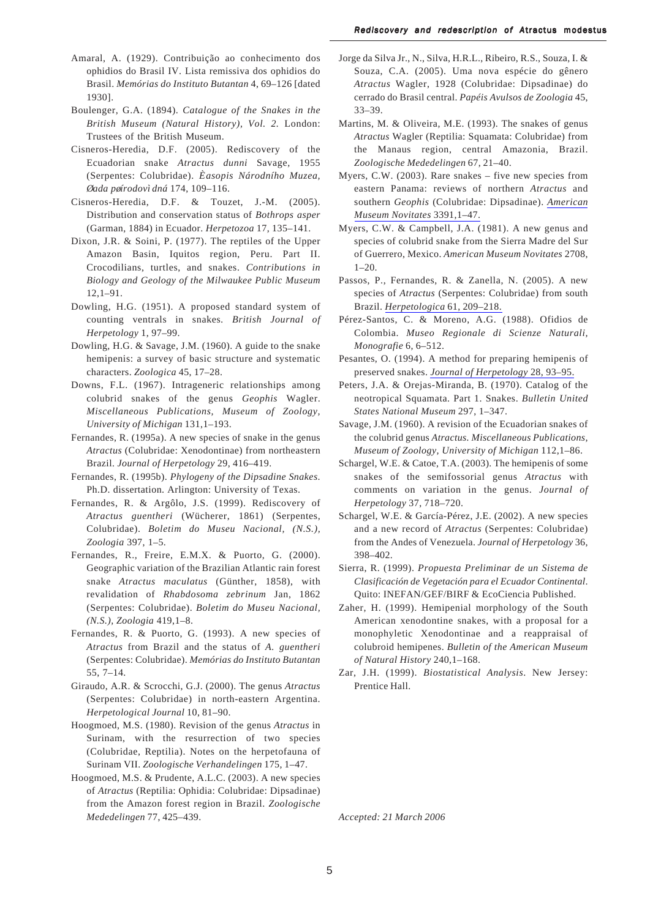- Amaral, A. (1929). Contribuição ao conhecimento dos ophidios do Brasil IV. Lista remissiva dos ophidios do Brasil. Memórias do Instituto Butantan 4, 69-126 [dated 1930].
- Boulenger, G.A. (1894). Catalogue of the Snakes in the British Museum (Natural History), Vol. 2. London: Trustees of the British Museum.
- Cisneros-Heredia, D.F. (2005). Rediscovery of the Ecuadorian snake Atractus dunni Savage, 1955 (Serpentes: Colubridae). Easopis Národního Muzea, Øada pøírodovì dná 174, 109-116.
- Cisneros-Heredia, D.F. & Touzet, J.-M. (2005). Distribution and conservation status of Bothrops asper (Garman, 1884) in Ecuador. Herpetozoa 17, 135-141.
- Dixon, J.R. & Soini, P. (1977). The reptiles of the Upper Amazon Basin, Iquitos region, Peru. Part II. Crocodilians, turtles, and snakes. Contributions in Biology and Geology of the Milwaukee Public Museum  $12,1 - 91.$
- Dowling, H.G. (1951). A proposed standard system of counting ventrals in snakes. British Journal of *Herpetology* 1, 97–99.
- Dowling, H.G. & Savage, J.M. (1960). A guide to the snake hemipenis: a survey of basic structure and systematic characters. Zoologica 45, 17-28.
- Downs, F.L. (1967). Intrageneric relationships among colubrid snakes of the genus Geophis Wagler. Miscellaneous Publications, Museum of Zoology, University of Michigan 131,1-193.
- Fernandes, R. (1995a). A new species of snake in the genus Atractus (Colubridae: Xenodontinae) from northeastern Brazil. Journal of Herpetology 29, 416-419.
- Fernandes, R. (1995b). Phylogeny of the Dipsadine Snakes. Ph.D. dissertation. Arlington: University of Texas.
- Fernandes, R. & Argôlo, J.S. (1999). Rediscovery of Atractus guentheri (Wücherer, 1861) (Serpentes, Colubridae). Boletim do Museu Nacional, (N.S.), Zoologia 397, 1-5.
- Fernandes, R., Freire, E.M.X. & Puorto, G. (2000). Geographic variation of the Brazilian Atlantic rain forest snake Atractus maculatus (Günther, 1858), with revalidation of Rhabdosoma zebrinum Jan, 1862 (Serpentes: Colubridae). Boletim do Museu Nacional, (N.S.), Zoologia 419,1-8.
- Fernandes, R. & Puorto, G. (1993). A new species of Atractus from Brazil and the status of A. guentheri (Serpentes: Colubridae). Memórias do Instituto Butantan  $55, 7 - 14.$
- Giraudo, A.R. & Scrocchi, G.J. (2000). The genus Atractus (Serpentes: Colubridae) in north-eastern Argentina. Herpetological Journal 10, 81-90.
- Hoogmoed, M.S. (1980). Revision of the genus Atractus in Surinam, with the resurrection of two species (Colubridae, Reptilia). Notes on the herpetofauna of Surinam VII. Zoologische Verhandelingen 175, 1-47.
- Hoogmoed, M.S. & Prudente, A.L.C. (2003). A new species of Atractus (Reptilia: Ophidia: Colubridae: Dipsadinae) from the Amazon forest region in Brazil. Zoologische Mededelingen 77, 425-439.
- Jorge da Silva Jr., N., Silva, H.R.L., Ribeiro, R.S., Souza, I. & Souza, C.A. (2005). Uma nova espécie do gênero Atractus Wagler, 1928 (Colubridae: Dipsadinae) do cerrado do Brasil central. Papéis Avulsos de Zoologia 45,  $33 - 39.$
- Martins, M. & Oliveira, M.E. (1993). The snakes of genus Atractus Wagler (Reptilia: Squamata: Colubridae) from the Manaus region, central Amazonia, Brazil. Zoologische Mededelingen 67, 21-40.
- Myers, C.W. (2003). Rare snakes five new species from eastern Panama: reviews of northern Atractus and southern Geophis (Colubridae: Dipsadinae). American Museum Novitates 3391,1-47.
- Myers, C.W. & Campbell, J.A. (1981). A new genus and species of colubrid snake from the Sierra Madre del Sur of Guerrero, Mexico. American Museum Novitates 2708,  $1 - 20.$
- Passos, P., Fernandes, R. & Zanella, N. (2005). A new species of Atractus (Serpentes: Colubridae) from south Brazil. Herpetologica 61, 209-218.
- Pérez-Santos, C. & Moreno, A.G. (1988). Ofidios de Colombia. Museo Regionale di Scienze Naturali, Monografie 6, 6-512.
- Pesantes, O. (1994). A method for preparing hemipenis of preserved snakes. Journal of Herpetology 28, 93-95.
- Peters, J.A. & Orejas-Miranda, B. (1970). Catalog of the neotropical Squamata. Part 1. Snakes. Bulletin United States National Museum 297, 1-347.
- Savage, J.M. (1960). A revision of the Ecuadorian snakes of the colubrid genus Atractus. Miscellaneous Publications, Museum of Zoology, University of Michigan 112,1-86.
- Schargel, W.E. & Catoe, T.A. (2003). The hemipenis of some snakes of the semifossorial genus Atractus with comments on variation in the genus. Journal of Herpetology 37, 718-720.
- Schargel, W.E. & García-Pérez, J.E. (2002). A new species and a new record of Atractus (Serpentes: Colubridae) from the Andes of Venezuela. Journal of Herpetology 36, 398-402.
- Sierra, R. (1999). Propuesta Preliminar de un Sistema de Clasificación de Vegetación para el Ecuador Continental. Quito: INEFAN/GEF/BIRF & EcoCiencia Published.
- Zaher, H. (1999). Hemipenial morphology of the South American xenodontine snakes, with a proposal for a monophyletic Xenodontinae and a reappraisal of colubroid hemipenes. Bulletin of the American Museum of Natural History 240,1-168.
- Zar, J.H. (1999). Biostatistical Analysis. New Jersey: Prentice Hall.

Accepted: 21 March 2006